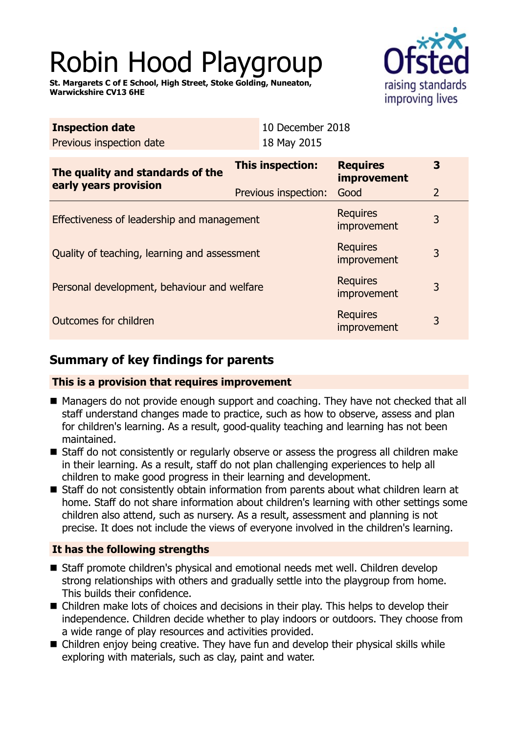# Robin Hood Playgroup

**St. Margarets C of E School, High Street, Stoke Golding, Nuneaton, Warwickshire CV13 6HE**



| <b>Inspection date</b><br>Previous inspection date        | 10 December 2018<br>18 May 2015          |                                               |        |  |
|-----------------------------------------------------------|------------------------------------------|-----------------------------------------------|--------|--|
| The quality and standards of the<br>early years provision | This inspection:<br>Previous inspection: | <b>Requires</b><br><i>improvement</i><br>Good | 3<br>2 |  |
| Effectiveness of leadership and management                |                                          | <b>Requires</b><br><i>improvement</i>         | 3      |  |
| Quality of teaching, learning and assessment              |                                          | <b>Requires</b><br><i>improvement</i>         | 3      |  |
| Personal development, behaviour and welfare               |                                          | <b>Requires</b><br>improvement                | 3      |  |
| Outcomes for children                                     |                                          | <b>Requires</b><br>improvement                | 3      |  |
|                                                           |                                          |                                               |        |  |

# **Summary of key findings for parents**

## **This is a provision that requires improvement**

- Managers do not provide enough support and coaching. They have not checked that all staff understand changes made to practice, such as how to observe, assess and plan for children's learning. As a result, good-quality teaching and learning has not been maintained.
- Staff do not consistently or regularly observe or assess the progress all children make in their learning. As a result, staff do not plan challenging experiences to help all children to make good progress in their learning and development.
- Staff do not consistently obtain information from parents about what children learn at home. Staff do not share information about children's learning with other settings some children also attend, such as nursery. As a result, assessment and planning is not precise. It does not include the views of everyone involved in the children's learning.

## **It has the following strengths**

- Staff promote children's physical and emotional needs met well. Children develop strong relationships with others and gradually settle into the playgroup from home. This builds their confidence.
- Children make lots of choices and decisions in their play. This helps to develop their independence. Children decide whether to play indoors or outdoors. They choose from a wide range of play resources and activities provided.
- $\blacksquare$  Children enjoy being creative. They have fun and develop their physical skills while exploring with materials, such as clay, paint and water.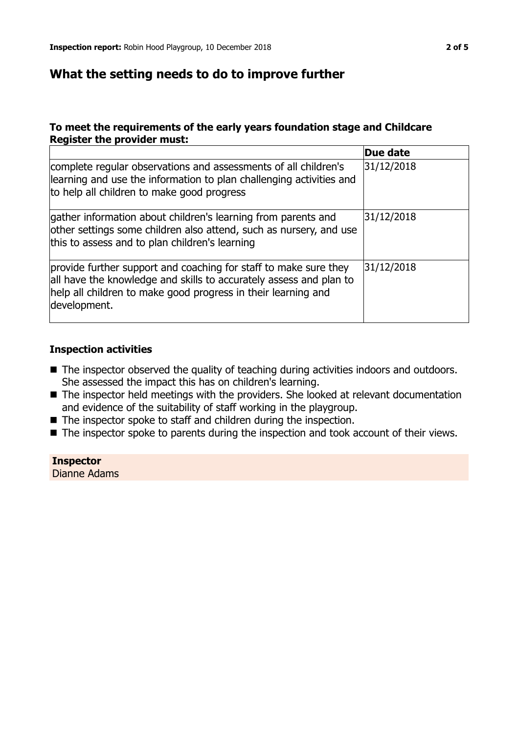## **What the setting needs to do to improve further**

## **To meet the requirements of the early years foundation stage and Childcare Register the provider must:**

|                                                                                                                                                                                                                         | Due date   |
|-------------------------------------------------------------------------------------------------------------------------------------------------------------------------------------------------------------------------|------------|
| complete regular observations and assessments of all children's<br>learning and use the information to plan challenging activities and<br>to help all children to make good progress                                    | 31/12/2018 |
| gather information about children's learning from parents and<br>other settings some children also attend, such as nursery, and use<br>this to assess and to plan children's learning                                   | 31/12/2018 |
| provide further support and coaching for staff to make sure they<br>all have the knowledge and skills to accurately assess and plan to<br>help all children to make good progress in their learning and<br>development. | 31/12/2018 |

## **Inspection activities**

- The inspector observed the quality of teaching during activities indoors and outdoors. She assessed the impact this has on children's learning.
- $\blacksquare$  The inspector held meetings with the providers. She looked at relevant documentation and evidence of the suitability of staff working in the playgroup.
- $\blacksquare$  The inspector spoke to staff and children during the inspection.
- The inspector spoke to parents during the inspection and took account of their views.

**Inspector** Dianne Adams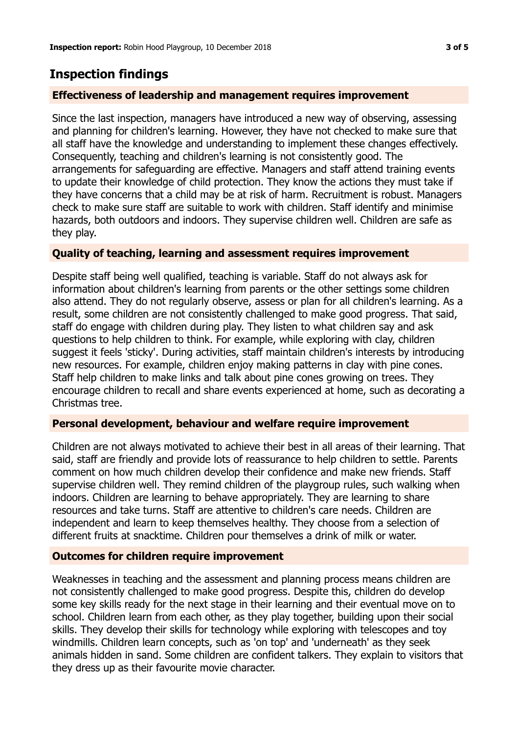# **Inspection findings**

## **Effectiveness of leadership and management requires improvement**

Since the last inspection, managers have introduced a new way of observing, assessing and planning for children's learning. However, they have not checked to make sure that all staff have the knowledge and understanding to implement these changes effectively. Consequently, teaching and children's learning is not consistently good. The arrangements for safeguarding are effective. Managers and staff attend training events to update their knowledge of child protection. They know the actions they must take if they have concerns that a child may be at risk of harm. Recruitment is robust. Managers check to make sure staff are suitable to work with children. Staff identify and minimise hazards, both outdoors and indoors. They supervise children well. Children are safe as they play.

## **Quality of teaching, learning and assessment requires improvement**

Despite staff being well qualified, teaching is variable. Staff do not always ask for information about children's learning from parents or the other settings some children also attend. They do not regularly observe, assess or plan for all children's learning. As a result, some children are not consistently challenged to make good progress. That said, staff do engage with children during play. They listen to what children say and ask questions to help children to think. For example, while exploring with clay, children suggest it feels 'sticky'. During activities, staff maintain children's interests by introducing new resources. For example, children enjoy making patterns in clay with pine cones. Staff help children to make links and talk about pine cones growing on trees. They encourage children to recall and share events experienced at home, such as decorating a Christmas tree.

## **Personal development, behaviour and welfare require improvement**

Children are not always motivated to achieve their best in all areas of their learning. That said, staff are friendly and provide lots of reassurance to help children to settle. Parents comment on how much children develop their confidence and make new friends. Staff supervise children well. They remind children of the playgroup rules, such walking when indoors. Children are learning to behave appropriately. They are learning to share resources and take turns. Staff are attentive to children's care needs. Children are independent and learn to keep themselves healthy. They choose from a selection of different fruits at snacktime. Children pour themselves a drink of milk or water.

## **Outcomes for children require improvement**

Weaknesses in teaching and the assessment and planning process means children are not consistently challenged to make good progress. Despite this, children do develop some key skills ready for the next stage in their learning and their eventual move on to school. Children learn from each other, as they play together, building upon their social skills. They develop their skills for technology while exploring with telescopes and toy windmills. Children learn concepts, such as 'on top' and 'underneath' as they seek animals hidden in sand. Some children are confident talkers. They explain to visitors that they dress up as their favourite movie character.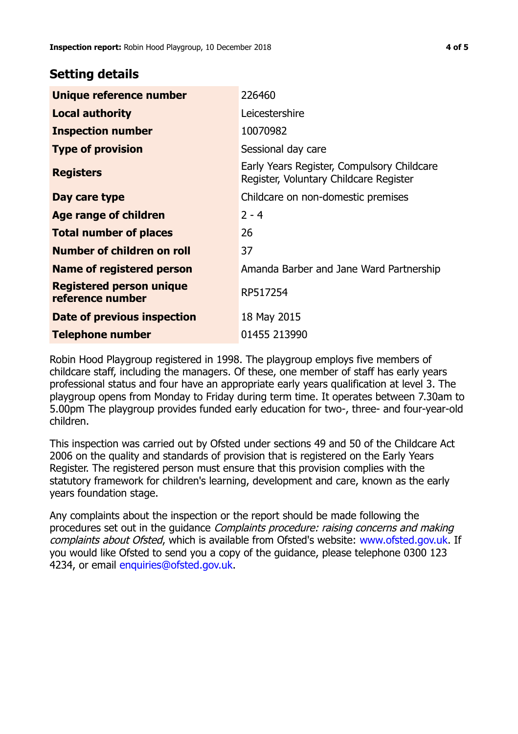## **Setting details**

| Unique reference number                             | 226460                                                                               |
|-----------------------------------------------------|--------------------------------------------------------------------------------------|
| <b>Local authority</b>                              | Leicestershire                                                                       |
| <b>Inspection number</b>                            | 10070982                                                                             |
| <b>Type of provision</b>                            | Sessional day care                                                                   |
| <b>Registers</b>                                    | Early Years Register, Compulsory Childcare<br>Register, Voluntary Childcare Register |
| Day care type                                       | Childcare on non-domestic premises                                                   |
| Age range of children                               | $2 - 4$                                                                              |
| <b>Total number of places</b>                       | 26                                                                                   |
| Number of children on roll                          | 37                                                                                   |
| Name of registered person                           | Amanda Barber and Jane Ward Partnership                                              |
| <b>Registered person unique</b><br>reference number | RP517254                                                                             |
| Date of previous inspection                         | 18 May 2015                                                                          |
| <b>Telephone number</b>                             | 01455 213990                                                                         |

Robin Hood Playgroup registered in 1998. The playgroup employs five members of childcare staff, including the managers. Of these, one member of staff has early years professional status and four have an appropriate early years qualification at level 3. The playgroup opens from Monday to Friday during term time. It operates between 7.30am to 5.00pm The playgroup provides funded early education for two-, three- and four-year-old children.

This inspection was carried out by Ofsted under sections 49 and 50 of the Childcare Act 2006 on the quality and standards of provision that is registered on the Early Years Register. The registered person must ensure that this provision complies with the statutory framework for children's learning, development and care, known as the early years foundation stage.

Any complaints about the inspection or the report should be made following the procedures set out in the guidance Complaints procedure: raising concerns and making complaints about Ofsted, which is available from Ofsted's website: www.ofsted.gov.uk. If you would like Ofsted to send you a copy of the guidance, please telephone 0300 123 4234, or email [enquiries@ofsted.gov.uk.](mailto:enquiries@ofsted.gov.uk)